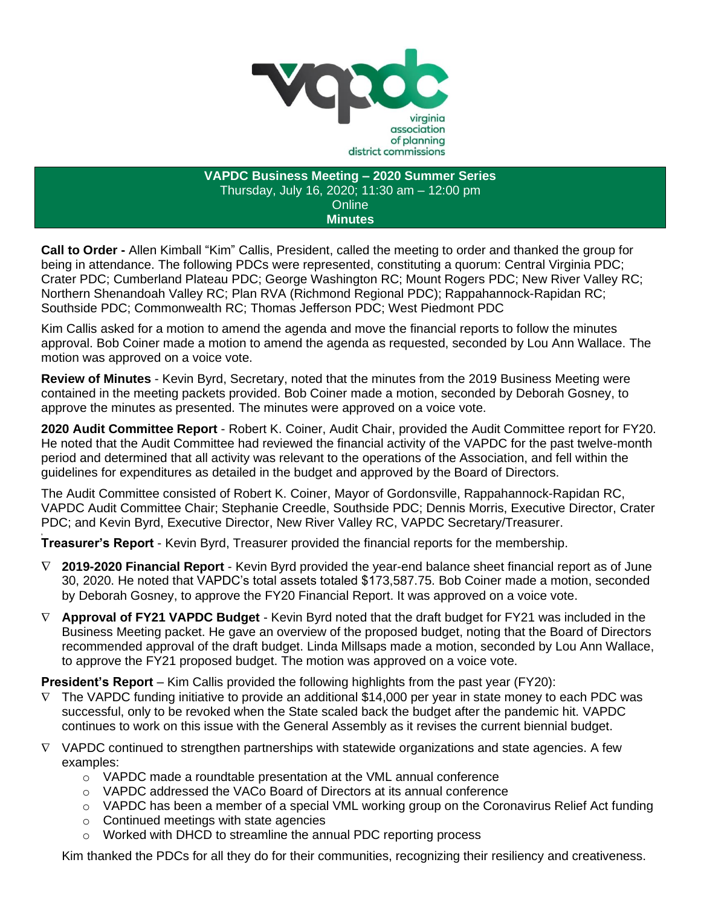

**VAPDC Business Meeting – 2020 Summer Series** Thursday, July 16, 2020; 11:30 am – 12:00 pm **Online Minutes**

**Call to Order -** Allen Kimball "Kim" Callis, President, called the meeting to order and thanked the group for being in attendance. The following PDCs were represented, constituting a quorum: Central Virginia PDC; Crater PDC; Cumberland Plateau PDC; George Washington RC; Mount Rogers PDC; New River Valley RC; Northern Shenandoah Valley RC; Plan RVA (Richmond Regional PDC); Rappahannock-Rapidan RC; Southside PDC; Commonwealth RC; Thomas Jefferson PDC; West Piedmont PDC

Kim Callis asked for a motion to amend the agenda and move the financial reports to follow the minutes approval. Bob Coiner made a motion to amend the agenda as requested, seconded by Lou Ann Wallace. The motion was approved on a voice vote.

**Review of Minutes** - Kevin Byrd, Secretary, noted that the minutes from the 2019 Business Meeting were contained in the meeting packets provided. Bob Coiner made a motion, seconded by Deborah Gosney, to approve the minutes as presented. The minutes were approved on a voice vote.

**2020 Audit Committee Report** - Robert K. Coiner, Audit Chair, provided the Audit Committee report for FY20. He noted that the Audit Committee had reviewed the financial activity of the VAPDC for the past twelve-month period and determined that all activity was relevant to the operations of the Association, and fell within the guidelines for expenditures as detailed in the budget and approved by the Board of Directors.

The Audit Committee consisted of Robert K. Coiner, Mayor of Gordonsville, Rappahannock-Rapidan RC, VAPDC Audit Committee Chair; Stephanie Creedle, Southside PDC; Dennis Morris, Executive Director, Crater PDC; and Kevin Byrd, Executive Director, New River Valley RC, VAPDC Secretary/Treasurer.

**, Treasurer's Report** - Kevin Byrd, Treasurer provided the financial reports for the membership.

- **2019-2020 Financial Report**  Kevin Byrd provided the year-end balance sheet financial report as of June 30, 2020. He noted that VAPDC's total assets totaled \$173,587.75. Bob Coiner made a motion, seconded by Deborah Gosney, to approve the FY20 Financial Report. It was approved on a voice vote.
- **Approval of FY21 VAPDC Budget** Kevin Byrd noted that the draft budget for FY21 was included in the Business Meeting packet. He gave an overview of the proposed budget, noting that the Board of Directors recommended approval of the draft budget. Linda Millsaps made a motion, seconded by Lou Ann Wallace, to approve the FY21 proposed budget. The motion was approved on a voice vote.

**President's Report** – Kim Callis provided the following highlights from the past year (FY20):

- $\nabla$  The VAPDC funding initiative to provide an additional \$14,000 per year in state money to each PDC was successful, only to be revoked when the State scaled back the budget after the pandemic hit. VAPDC continues to work on this issue with the General Assembly as it revises the current biennial budget.
- $\nabla$  VAPDC continued to strengthen partnerships with statewide organizations and state agencies. A few examples:
	- o VAPDC made a roundtable presentation at the VML annual conference
	- o VAPDC addressed the VACo Board of Directors at its annual conference
	- o VAPDC has been a member of a special VML working group on the Coronavirus Relief Act funding
	- o Continued meetings with state agencies
	- o Worked with DHCD to streamline the annual PDC reporting process

Kim thanked the PDCs for all they do for their communities, recognizing their resiliency and creativeness.